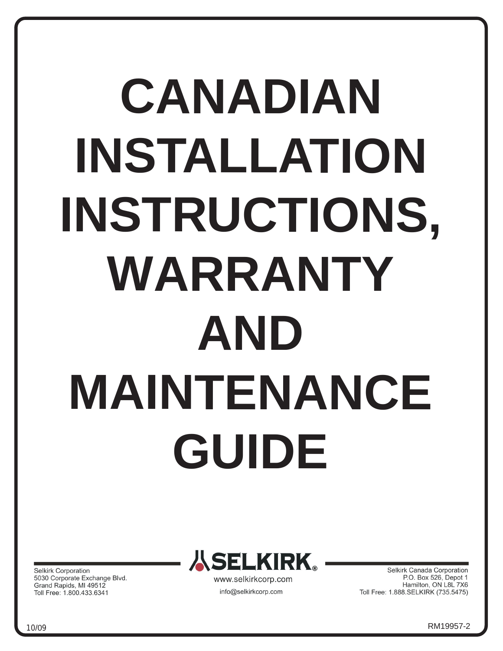# **CANADIAN INSTALLATION INSTRUCTIONS, WARRANTY AND MAINTENANCE GUIDE**

Selkirk Corporation 5030 Corporate Exchange Blvd. Grand Rapids, MI 49512 Toll Free: 1.800.433.6341



info@selkirkcorp.com

Selkirk Canada Corporation P.O. Box 526, Depot 1 Hamilton, ON L8L 7X6 Toll Free: 1.888.SELKIRK (735.5475)

<sup>1</sup> 10/09 RM19957-2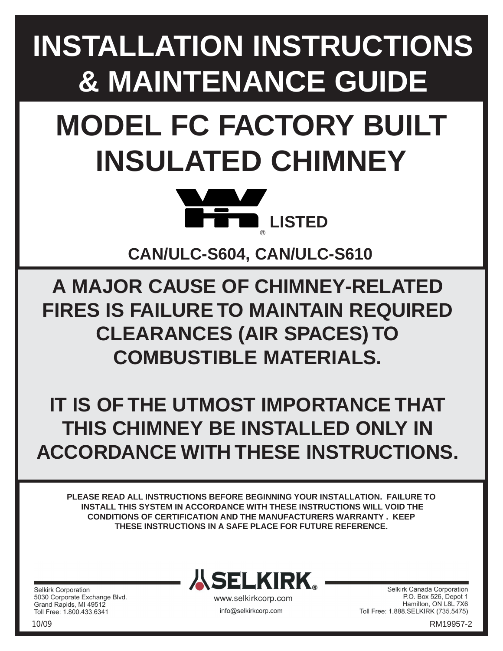# **INSTALLATION INSTRUCTIONS & MAINTENANCE GUIDE**

# **MODEL FC FACTORY BUILT INSULATED CHIMNEY**



**CAN/ULC-S604, CAN/ULC-S610**

**A MAJOR CAUSE OF CHIMNEY-RELATED FIRES IS FAILURE TO MAINTAIN REQUIRED CLEARANCES (AIR SPACES) TO COMBUSTIBLE MATERIALS.**

**IT IS OF THE UTMOST IMPORTANCE THAT THIS CHIMNEY BE INSTALLED ONLY IN ACCORDANCE WITH THESE INSTRUCTIONS.**

**PLEASE READ ALL INSTRUCTIONS BEFORE BEGINNING YOUR INSTALLATION. FAILURE TO INSTALL THIS SYSTEM IN ACCORDANCE WITH THESE INSTRUCTIONS WILL VOID THE CONDITIONS OF CERTIFICATION AND THE MANUFACTURERS WARRANTY . KEEP THESE INSTRUCTIONS IN A SAFE PLACE FOR FUTURE REFERENCE.**

**Selkirk Corporation** 5030 Corporate Exchange Blvd. Grand Rapids, MI 49512 Toll Free: 1.800.433.6341



www.selkirkcorp.com info@selkirkcorp.com

2

Selkirk Canada Corporation P.O. Box 526, Depot 1 Hamilton, ON L8L 7X6 Toll Free: 1.888.SELKIRK (735.5475)

10/09 RM19957-2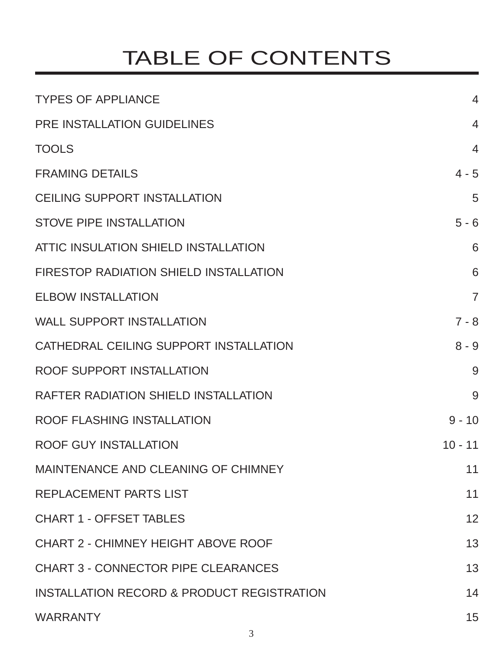# TABLE OF CONTENTS

| <b>TYPES OF APPLIANCE</b>                             | $\overline{4}$ |
|-------------------------------------------------------|----------------|
| PRE INSTALLATION GUIDELINES                           | $\overline{4}$ |
| <b>TOOLS</b>                                          | $\overline{4}$ |
| <b>FRAMING DETAILS</b>                                | $4 - 5$        |
| <b>CEILING SUPPORT INSTALLATION</b>                   | 5              |
| <b>STOVE PIPE INSTALLATION</b>                        | $5 - 6$        |
| ATTIC INSULATION SHIELD INSTALLATION                  | 6              |
| <b>FIRESTOP RADIATION SHIELD INSTALLATION</b>         | 6              |
| <b>ELBOW INSTALLATION</b>                             | $\overline{7}$ |
| <b>WALL SUPPORT INSTALLATION</b>                      | $7 - 8$        |
| CATHEDRAL CEILING SUPPORT INSTALLATION                | $8 - 9$        |
| ROOF SUPPORT INSTALLATION                             | 9              |
| <b>RAFTER RADIATION SHIELD INSTALLATION</b>           | 9              |
| ROOF FLASHING INSTALLATION                            | $9 - 10$       |
| <b>ROOF GUY INSTALLATION</b>                          | $10 - 11$      |
| MAINTENANCE AND CLEANING OF CHIMNEY                   | 11             |
| <b>REPLACEMENT PARTS LIST</b>                         | 11             |
| <b>CHART 1 - OFFSET TABLES</b>                        | 12             |
| <b>CHART 2 - CHIMNEY HEIGHT ABOVE ROOF</b>            | 13             |
| <b>CHART 3 - CONNECTOR PIPE CLEARANCES</b>            | 13             |
| <b>INSTALLATION RECORD &amp; PRODUCT REGISTRATION</b> | 14             |
| <b>WARRANTY</b>                                       | 15             |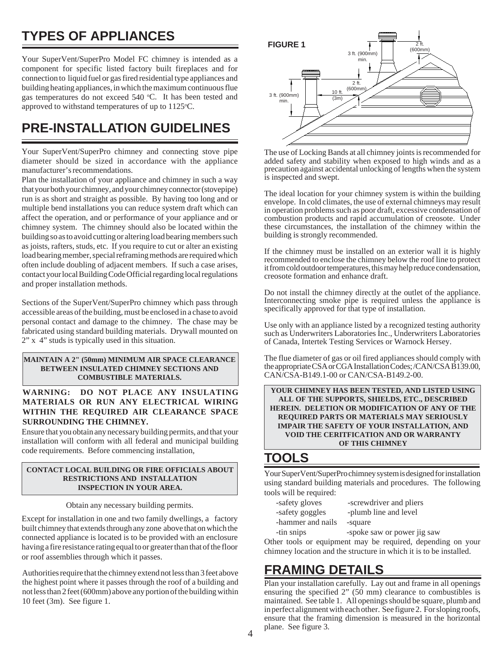## **TYPES OF APPLIANCES**

Your SuperVent/SuperPro Model FC chimney is intended as a component for specific listed factory built fireplaces and for connection to liquid fuel or gas fired residential type appliances and building heating appliances, in which the maximum continuous flue gas temperatures do not exceed 540 °C. It has been tested and approved to withstand temperatures of up to 1125°C.

### **PRE-INSTALLATION GUIDELINES**

Your SuperVent/SuperPro chimney and connecting stove pipe diameter should be sized in accordance with the appliance manufacturer's recommendations.

Plan the installation of your appliance and chimney in such a way that your both your chimney, and your chimney connector (stovepipe) run is as short and straight as possible. By having too long and or multiple bend installations you can reduce system draft which can affect the operation, and or performance of your appliance and or chimney system. The chimney should also be located within the building so as to avoid cutting or altering load bearing members such as joists, rafters, studs, etc. If you require to cut or alter an existing load bearing member, special reframing methods are required which often include doubling of adjacent members. If such a case arises, contact your local Building Code Official regarding local regulations and proper installation methods.

Sections of the SuperVent/SuperPro chimney which pass through accessible areas of the building, must be enclosed in a chase to avoid personal contact and damage to the chimney. The chase may be fabricated using standard building materials. Drywall mounted on 2" x 4" studs is typically used in this situation.

**MAINTAIN A 2" (50mm) MINIMUM AIR SPACE CLEARANCE BETWEEN INSULATED CHIMNEY SECTIONS AND COMBUSTIBLE MATERIALS.**

**WARNING: DO NOT PLACE ANY INSULATING MATERIALS OR RUN ANY ELECTRICAL WIRING WITHIN THE REQUIRED AIR CLEARANCE SPACE SURROUNDING THE CHIMNEY.**

Ensure that you obtain any necessary building permits, and that your installation will conform with all federal and municipal building code requirements. Before commencing installation,

#### **CONTACT LOCAL BUILDING OR FIRE OFFICIALS ABOUT RESTRICTIONS AND INSTALLATION INSPECTION IN YOUR AREA.**

Obtain any necessary building permits.

Except for installation in one and two family dwellings, a factory built chimney that extends through any zone above that on which the connected appliance is located is to be provided with an enclosure having a fire resistance rating equal to or greater than that of the floor or roof assemblies through which it passes.

Authorities require that the chimney extend not less than 3 feet above the highest point where it passes through the roof of a building and not less than 2 feet (600mm) above any portion of the building within 10 feet (3m). See figure 1.



The use of Locking Bands at all chimney joints is recommended for added safety and stability when exposed to high winds and as a precaution against accidental unlocking of lengths when the system is inspected and swept.

The ideal location for your chimney system is within the building envelope. In cold climates, the use of external chimneys may result in operation problems such as poor draft, excessive condensation of combustion products and rapid accumulation of creosote. Under these circumstances, the installation of the chimney within the building is strongly recommended.

If the chimney must be installed on an exterior wall it is highly recommended to enclose the chimney below the roof line to protect it from cold outdoor temperatures, this may help reduce condensation, creosote formation and enhance draft.

Do not install the chimney directly at the outlet of the appliance. Interconnecting smoke pipe is required unless the appliance is specifically approved for that type of installation.

Use only with an appliance listed by a recognized testing authority such as Underwriters Laboratories Inc., Underwriters Laboratories of Canada, Intertek Testing Services or Warnock Hersey.

The flue diameter of gas or oil fired appliances should comply with the appropriate CSA or CGA Installation Codes; /CAN/CSA B139.00, CAN/CSA-B149.1-00 or CAN/CSA-B149.2-00.

**YOUR CHIMNEY HAS BEEN TESTED, AND LISTED USING ALL OF THE SUPPORTS, SHIELDS, ETC., DESCRIBED HEREIN. DELETION OR MODIFICATION OF ANY OF THE REQUIRED PARTS OR MATERIALS MAY SERIOUSLY IMPAIR THE SAFETY OF YOUR INSTALLATION, AND VOID THE CERITFICATION AND OR WARRANTY OF THIS CHIMNEY**

#### **TOOLS**

Your SuperVent/SuperPro chimney system is designed for installation using standard building materials and procedures. The following tools will be required:

- -safety goggles -plumb line and level
- -safety gloves -screwdriver and pliers
	-
- -hammer and nails -square
- 
- -tin snips -spoke saw or power jig saw

Other tools or equipment may be required, depending on your chimney location and the structure in which it is to be installed.

#### **FRAMING DETAILS**

Plan your installation carefully. Lay out and frame in all openings ensuring the specified 2" (50 mm) clearance to combustibles is maintained. See table 1. All openings should be square, plumb and in perfect alignment with each other. See figure 2. For sloping roofs, ensure that the framing dimension is measured in the horizontal plane. See figure 3.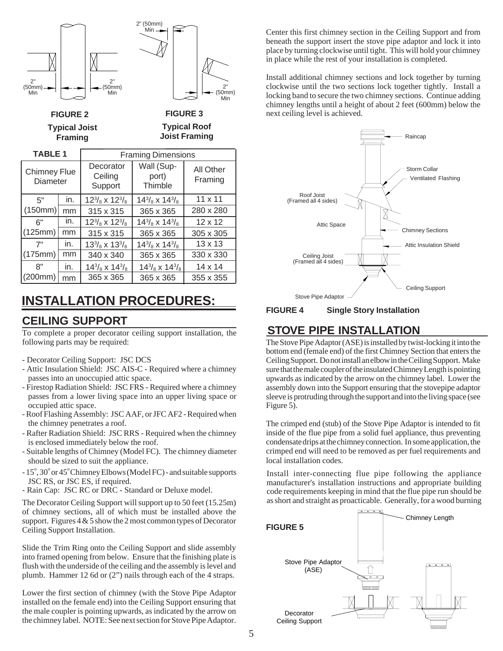

### **CEILING SUPPORT INSTALLATION PROCEDURES:**

To complete a proper decorator ceiling support installation, the following parts may be required:

- Decorator Ceiling Support: JSC DCS
- Attic Insulation Shield: JSC AIS-C Required where a chimney passes into an unoccupied attic space.
- Firestop Radiation Shield: JSC FRS Required where a chimney passes from a lower living space into an upper living space or occupied attic space.
- Roof Flashing Assembly: JSC AAF, or JFC AF2 Required when the chimney penetrates a roof.
- Rafter Radiation Shield: JSC RRS Required when the chimney is enclosed immediately below the roof.
- Suitable lengths of Chimney (Model FC). The chimney diameter should be sized to suit the appliance.
- 15°, 30° or 45° Chimney Elbows (Model FC) and suitable supports JSC RS, or JSC ES, if required.
- Rain Cap: JSC RC or DRC Standard or Deluxe model.

The Decorator Ceiling Support will support up to 50 feet (15.25m) of chimney sections, all of which must be installed above the support. Figures  $4 \& 5$  show the 2 most common types of Decorator Ceiling Support Installation.

Slide the Trim Ring onto the Ceiling Support and slide assembly into framed opening from below. Ensure that the finishing plate is flush with the underside of the ceiling and the assembly is level and plumb. Hammer 12 6d or (2") nails through each of the 4 straps.

Lower the first section of chimney (with the Stove Pipe Adaptor installed on the female end) into the Ceiling Support ensuring that the male coupler is pointing upwards, as indicated by the arrow on the chimney label. NOTE: See next section for Stove Pipe Adaptor.

Center this first chimney section in the Ceiling Support and from beneath the support insert the stove pipe adaptor and lock it into place by turning clockwise until tight. This will hold your chimney in place while the rest of your installation is completed.

Install additional chimney sections and lock together by turning clockwise until the two sections lock together tightly. Install a locking band to secure the two chimney sections. Continue adding chimney lengths until a height of about 2 feet (600mm) below the next ceiling level is achieved.



**Single Story Installation FIGURE 4**

#### **STOVE PIPE INSTALLATION**

The Stove Pipe Adaptor (ASE) is installed by twist-locking it into the bottom end (female end) of the first Chimney Section that enters the Ceiling Support. Do not install an elbow in the Ceiling Support. Make sure that the male coupler of the insulated Chimney Length is pointing upwards as indicated by the arrow on the chimney label. Lower the assembly down into the Support ensuring that the stovepipe adaptor sleeve is protruding through the support and into the living space (see Figure 5).

The crimped end (stub) of the Stove Pipe Adaptor is intended to fit inside of the flue pipe from a solid fuel appliance, thus preventing condensate drips at the chimney connection. In some application, the crimped end will need to be removed as per fuel requirements and local installation codes.

Install inter-connecting flue pipe following the appliance manufacturer's installation instructions and appropriate building code requirements keeping in mind that the flue pipe run should be as short and straight as proacticable. Generally, for a wood burning

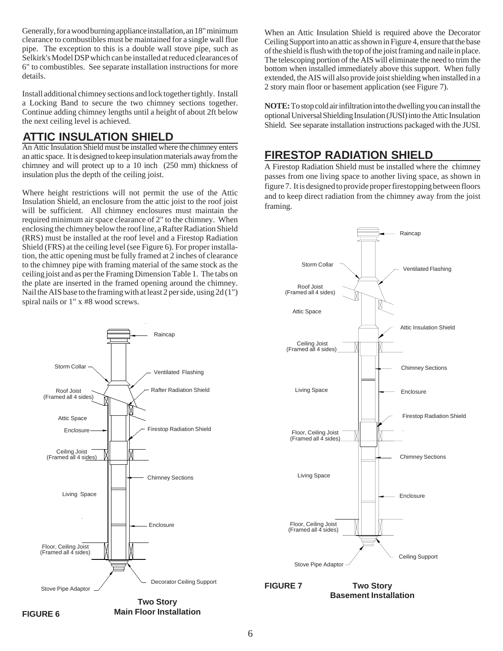Generally, for a wood burning appliance installation, an 18" minimum clearance to combustibles must be maintained for a single wall flue pipe. The exception to this is a double wall stove pipe, such as Selkirk's Model DSP which can be installed at reduced clearances of 6" to combustibles. See separate installation instructions for more details.

Install additional chimney sections and lock together tightly. Install a Locking Band to secure the two chimney sections together. Continue adding chimney lengths until a height of about 2ft below the next ceiling level is achieved.

#### **ATTIC INSULATION SHIELD**

An Attic Insulation Shield must be installed where the chimney enters an attic space. It is designed to keep insulation materials away from the chimney and will protect up to a 10 inch (250 mm) thickness of insulation plus the depth of the ceiling joist.

Where height restrictions will not permit the use of the Attic Insulation Shield, an enclosure from the attic joist to the roof joist will be sufficient. All chimney enclosures must maintain the required minimum air space clearance of 2" to the chimney. When enclosing the chimney below the roof line, a Rafter Radiation Shield (RRS) must be installed at the roof level and a Firestop Radiation Shield (FRS) at the ceiling level (see Figure 6). For proper installation, the attic opening must be fully framed at 2 inches of clearance to the chimney pipe with framing material of the same stock as the ceiling joist and as per the Framing Dimension Table 1. The tabs on the plate are inserted in the framed opening around the chimney. Nail the AIS base to the framing with at least 2 per side, using 2d (1") spiral nails or 1" x #8 wood screws.

Raincap

When an Attic Insulation Shield is required above the Decorator Ceiling Support into an attic as shown in Figure 4, ensure that the base of the shield is flush with the top of the joist framing and naile in place. The telescoping portion of the AIS will eliminate the need to trim the bottom when installed immediately above this support. When fully extended, the AIS will also provide joist shielding when installed in a 2 story main floor or basement application (see Figure 7).

**NOTE:** To stop cold air infiltration into the dwelling you can install the optional Universal Shielding Insulation (JUSI) into the Attic Insulation Shield. See separate installation instructions packaged with the JUSI.

#### **FIRESTOP RADIATION SHIELD**

A Firestop Radiation Shield must be installed where the chimney passes from one living space to another living space, as shown in figure 7. It is designed to provide proper firestopping between floors and to keep direct radiation from the chimney away from the joist framing.



**Two Story Basement Installation FIGURE 7**





**Two Story Main Floor Installation**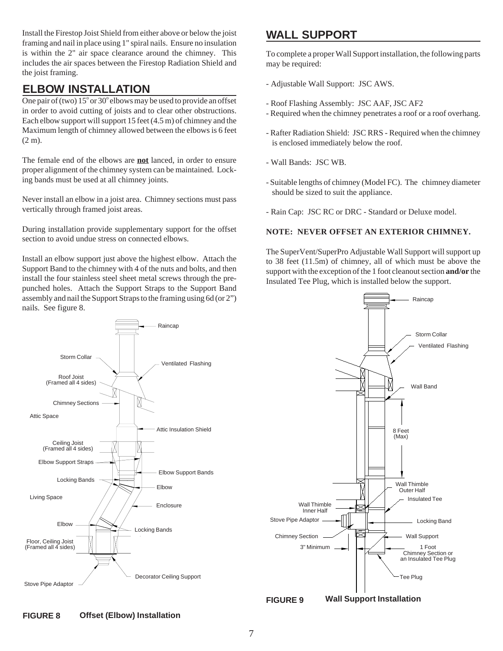Install the Firestop Joist Shield from either above or below the joist framing and nail in place using 1" spiral nails. Ensure no insulation is within the 2" air space clearance around the chimney. This includes the air spaces between the Firestop Radiation Shield and the joist framing.

#### **ELBOW INSTALLATION**

One pair of (two)  $15^{\circ}$  or 30° elbows may be used to provide an offset in order to avoid cutting of joists and to clear other obstructions. Each elbow support will support 15 feet (4.5 m) of chimney and the Maximum length of chimney allowed between the elbows is 6 feet (2 m).

The female end of the elbows are **not** lanced, in order to ensure proper alignment of the chimney system can be maintained. Locking bands must be used at all chimney joints.

Never install an elbow in a joist area. Chimney sections must pass vertically through framed joist areas.

During installation provide supplementary support for the offset section to avoid undue stress on connected elbows.

Install an elbow support just above the highest elbow. Attach the Support Band to the chimney with 4 of the nuts and bolts, and then install the four stainless steel sheet metal screws through the prepunched holes. Attach the Support Straps to the Support Band assembly and nail the Support Straps to the framing using 6d (or 2") nails. See figure 8.

#### **WALL SUPPORT**

To complete a proper Wall Support installation, the following parts may be required:

- Adjustable Wall Support: JSC AWS.
- Roof Flashing Assembly: JSC AAF, JSC AF2
- Required when the chimney penetrates a roof or a roof overhang.
- Rafter Radiation Shield: JSC RRS Required when the chimney is enclosed immediately below the roof.
- Wall Bands: JSC WB.
- Suitable lengths of chimney (Model FC). The chimney diameter should be sized to suit the appliance.
- Rain Cap: JSC RC or DRC Standard or Deluxe model.

#### **NOTE: NEVER OFFSET AN EXTERIOR CHIMNEY.**

The SuperVent/SuperPro Adjustable Wall Support will support up to 38 feet (11.5m) of chimney, all of which must be above the support with the exception of the 1 foot cleanout section **and/or** the Insulated Tee Plug, which is installed below the support.

Raincap

Storm Collar

Ventilated Flashing

Wall Band

Locking Band

Insulated Tee

Wall Support 1 Foot



**FIGURE 9**

**Wall Support Installation**

#### **Offset (Elbow) Installation FIGURE 8**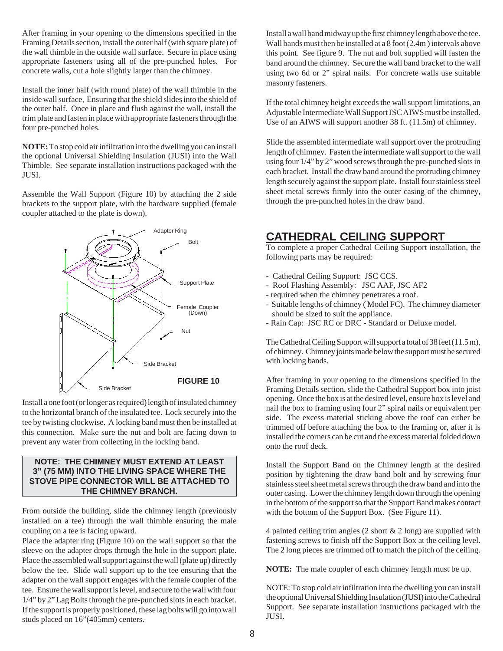After framing in your opening to the dimensions specified in the Framing Details section, install the outer half (with square plate) of the wall thimble in the outside wall surface. Secure in place using appropriate fasteners using all of the pre-punched holes. For concrete walls, cut a hole slightly larger than the chimney.

Install the inner half (with round plate) of the wall thimble in the inside wall surface, Ensuring that the shield slides into the shield of the outer half. Once in place and flush against the wall, install the trim plate and fasten in place with appropriate fasteners through the four pre-punched holes.

**NOTE:** To stop cold air infiltration into the dwelling you can install the optional Universal Shielding Insulation (JUSI) into the Wall Thimble. See separate installation instructions packaged with the JUSI.

Assemble the Wall Support (Figure 10) by attaching the 2 side brackets to the support plate, with the hardware supplied (female coupler attached to the plate is down).



Install a one foot (or longer as required) length of insulated chimney to the horizontal branch of the insulated tee. Lock securely into the tee by twisting clockwise. A locking band must then be installed at this connection. Make sure the nut and bolt are facing down to prevent any water from collecting in the locking band.

#### **NOTE: THE CHIMNEY MUST EXTEND AT LEAST 3" (75 MM) INTO THE LIVING SPACE WHERE THE STOVE PIPE CONNECTOR WILL BE ATTACHED TO THE CHIMNEY BRANCH.**

From outside the building, slide the chimney length (previously installed on a tee) through the wall thimble ensuring the male coupling on a tee is facing upward.

Place the adapter ring (Figure 10) on the wall support so that the sleeve on the adapter drops through the hole in the support plate. Place the assembled wall support against the wall (plate up) directly below the tee. Slide wall support up to the tee ensuring that the adapter on the wall support engages with the female coupler of the tee. Ensure the wall support is level, and secure to the wall with four 1/4" by 2" Lag Bolts through the pre-punched slots in each bracket. If the support is properly positioned, these lag bolts will go into wall studs placed on 16"(405mm) centers.

Install a wall band midway up the first chimney length above the tee. Wall bands must then be installed at a 8 foot (2.4m ) intervals above this point. See figure 9. The nut and bolt supplied will fasten the band around the chimney. Secure the wall band bracket to the wall using two 6d or 2" spiral nails. For concrete walls use suitable masonry fasteners.

If the total chimney height exceeds the wall support limitations, an Adjustable Intermediate Wall Support JSC AIWS must be installed. Use of an AIWS will support another 38 ft. (11.5m) of chimney.

Slide the assembled intermediate wall support over the protruding length of chimney. Fasten the intermediate wall support to the wall using four 1/4" by 2" wood screws through the pre-punched slots in each bracket. Install the draw band around the protruding chimney length securely against the support plate. Install four stainless steel sheet metal screws firmly into the outer casing of the chimney, through the pre-punched holes in the draw band.

#### **CATHEDRAL CEILING SUPPORT**

To complete a proper Cathedral Ceiling Support installation, the following parts may be required:

- Cathedral Ceiling Support: JSC CCS.
- Roof Flashing Assembly: JSC AAF, JSC AF2
- required when the chimney penetrates a roof.
- Suitable lengths of chimney ( Model FC). The chimney diameter should be sized to suit the appliance.
- Rain Cap: JSC RC or DRC Standard or Deluxe model.

The Cathedral Ceiling Support will support a total of 38 feet (11.5 m), of chimney. Chimney joints made below the support must be secured with locking bands.

After framing in your opening to the dimensions specified in the Framing Details section, slide the Cathedral Support box into joist opening. Once the box is at the desired level, ensure box is level and nail the box to framing using four 2" spiral nails or equivalent per side. The excess material sticking above the roof can either be trimmed off before attaching the box to the framing or, after it is installed the corners can be cut and the excess material folded down onto the roof deck.

Install the Support Band on the Chimney length at the desired position by tightening the draw band bolt and by screwing four stainless steel sheet metal screws through the draw band and into the outer casing. Lower the chimney length down through the opening in the bottom of the support so that the Support Band makes contact with the bottom of the Support Box. (See Figure 11).

4 painted ceiling trim angles  $(2 \text{ short } \& 2 \text{ long})$  are supplied with fastening screws to finish off the Support Box at the ceiling level. The 2 long pieces are trimmed off to match the pitch of the ceiling.

**NOTE:** The male coupler of each chimney length must be up.

NOTE: To stop cold air infiltration into the dwelling you can install the optional Universal Shielding Insulation (JUSI) into the Cathedral Support. See separate installation instructions packaged with the JUSI.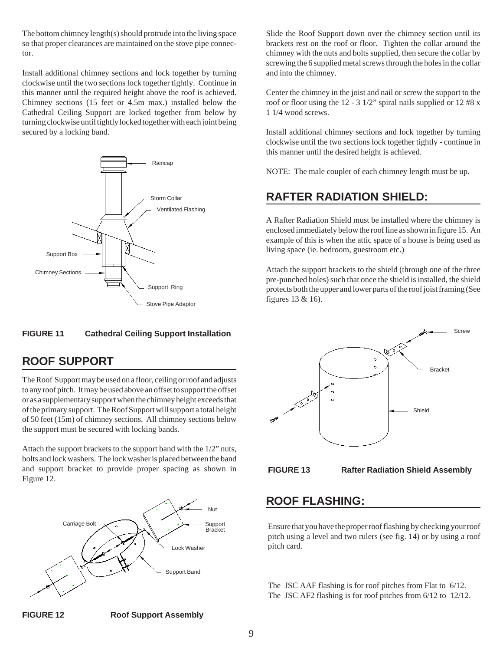The bottom chimney length(s) should protrude into the living space so that proper clearances are maintained on the stove pipe connector.

Install additional chimney sections and lock together by turning clockwise until the two sections lock together tightly. Continue in this manner until the required height above the roof is achieved. Chimney sections (15 feet or 4.5m max.) installed below the Cathedral Ceiling Support are locked together from below by turning clockwise until tightly locked together with each joint being secured by a locking band.



#### **FIGURE 11 Cathedral Ceiling Support Installation**

#### **ROOF SUPPORT**

The Roof Support may be used on a floor, ceiling or roof and adjusts to any roof pitch. It may be used above an offset to support the offset or as a supplementary support when the chimney height exceeds that of the primary support. The Roof Support will support a total height of 50 feet (15m) of chimney sections. All chimney sections below the support must be secured with locking bands.

Attach the support brackets to the support band with the 1/2" nuts, bolts and lock washers. The lock washer is placed between the band and support bracket to provide proper spacing as shown in Figure 12.



Slide the Roof Support down over the chimney section until its brackets rest on the roof or floor. Tighten the collar around the chimney with the nuts and bolts supplied, then secure the collar by screwing the 6 supplied metal screws through the holes in the collar and into the chimney.

Center the chimney in the joist and nail or screw the support to the roof or floor using the 12 - 3 1/2" spiral nails supplied or 12 #8 x 1 1/4 wood screws.

Install additional chimney sections and lock together by turning clockwise until the two sections lock together tightly - continue in this manner until the desired height is achieved.

NOTE: The male coupler of each chimney length must be up.

#### **RAFTER RADIATION SHIELD:**

A Rafter Radiation Shield must be installed where the chimney is enclosed immediately below the roof line as shown in figure 15. An example of this is when the attic space of a house is being used as living space (ie. bedroom, guestroom etc.)

Attach the support brackets to the shield (through one of the three pre-punched holes) such that once the shield is installed, the shield protects both the upper and lower parts of the roof joist framing (See figures 13 & 16).





**FIGURE 13 Rafter Radiation Shield Assembly**

#### **ROOF FLASHING:**

Ensure that you have the proper roof flashing by checking your roof pitch using a level and two rulers (see fig. 14) or by using a roof pitch card.

The JSC AAF flashing is for roof pitches from Flat to 6/12. The JSC AF2 flashing is for roof pitches from 6/12 to 12/12.

**FIGURE 12 Roof Support Assembly**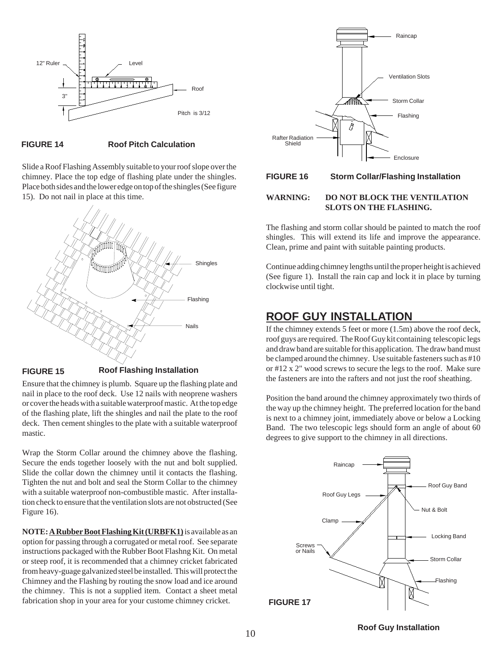

#### **FIGURE 14 Roof Pitch Calculation**

Slide a Roof Flashing Assembly suitable to your roof slope over the chimney. Place the top edge of flashing plate under the shingles. Place both sides and the lower edge on top of the shingles (See figure 15). Do not nail in place at this time.



#### **FIGURE 15 Roof Flashing Installation**

Ensure that the chimney is plumb. Square up the flashing plate and nail in place to the roof deck. Use 12 nails with neoprene washers or cover the heads with a suitable waterproof mastic. At the top edge of the flashing plate, lift the shingles and nail the plate to the roof deck. Then cement shingles to the plate with a suitable waterproof mastic.

Wrap the Storm Collar around the chimney above the flashing. Secure the ends together loosely with the nut and bolt supplied. Slide the collar down the chimney until it contacts the flashing. Tighten the nut and bolt and seal the Storm Collar to the chimney with a suitable waterproof non-combustible mastic. After installation check to ensure that the ventilation slots are not obstructed (See Figure 16).

**NOTE:A Rubber Boot Flashing Kit (URBFK1)** is available as an option for passing through a corrugated or metal roof. See separate instructions packaged with the Rubber Boot Flashng Kit. On metal or steep roof, it is recommended that a chimney cricket fabricated from heavy-guage galvanized steel be installed. This will protect the Chimney and the Flashing by routing the snow load and ice around the chimney. This is not a supplied item. Contact a sheet metal fabrication shop in your area for your custome chimney cricket.



#### **FIGURE 16 Storm Collar/Flashing Installation**

#### **WARNING: DO NOT BLOCK THE VENTILATION SLOTS ON THE FLASHING.**

The flashing and storm collar should be painted to match the roof shingles. This will extend its life and improve the appearance. Clean, prime and paint with suitable painting products.

Continue adding chimney lengths until the proper height is achieved (See figure 1). Install the rain cap and lock it in place by turning clockwise until tight.

#### **ROOF GUY INSTALLATION**

If the chimney extends 5 feet or more (1.5m) above the roof deck, roof guys are required. The Roof Guy kit containing telescopic legs and draw band are suitable for this application. The draw band must be clamped around the chimney. Use suitable fasteners such as #10 or #12 x 2" wood screws to secure the legs to the roof. Make sure the fasteners are into the rafters and not just the roof sheathing.

Position the band around the chimney approximately two thirds of the way up the chimney height. The preferred location for the band is next to a chimney joint, immediately above or below a Locking Band. The two telescopic legs should form an angle of about 60 degrees to give support to the chimney in all directions.



<sup>10</sup> **Roof Guy Installation**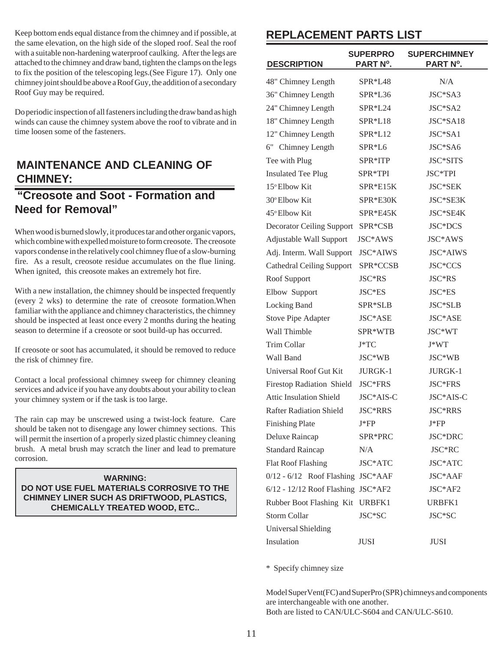Keep bottom ends equal distance from the chimney and if possible, at the same elevation, on the high side of the sloped roof. Seal the roof with a suitable non-hardening waterproof caulking. After the legs are attached to the chimney and draw band, tighten the clamps on the legs to fix the position of the telescoping legs.(See Figure 17). Only one chimney joint should be above a Roof Guy, the addition of a secondary Roof Guy may be required.

Do periodic inspection of all fasteners including the draw band as high winds can cause the chimney system above the roof to vibrate and in time loosen some of the fasteners.

#### **MAINTENANCE AND CLEANING OF CHIMNEY:**

#### **"Creosote and Soot - Formation and Need for Removal"**

When wood is burned slowly, it produces tar and other organic vapors, which combine with expelled moisture to form creosote. The creosote vapors condense in the relatively cool chimney flue of a slow-burning fire. As a result, creosote residue accumulates on the flue lining. When ignited, this creosote makes an extremely hot fire.

With a new installation, the chimney should be inspected frequently (every 2 wks) to determine the rate of creosote formation.When familiar with the appliance and chimney characteristics, the chimney should be inspected at least once every 2 months during the heating season to determine if a creosote or soot build-up has occurred.

If creosote or soot has accumulated, it should be removed to reduce the risk of chimney fire.

Contact a local professional chimney sweep for chimney cleaning services and advice if you have any doubts about your ability to clean your chimney system or if the task is too large.

The rain cap may be unscrewed using a twist-lock feature. Care should be taken not to disengage any lower chimney sections. This will permit the insertion of a properly sized plastic chimney cleaning brush. A metal brush may scratch the liner and lead to premature corrosion.

**WARNING: DO NOT USE FUEL MATERIALS CORROSIVE TO THE CHIMNEY LINER SUCH AS DRIFTWOOD, PLASTICS, CHEMICALLY TREATED WOOD, ETC..**

#### **REPLACEMENT PARTS LIST**

| <b>DESCRIPTION</b>                   | <b>SUPERPRO</b><br>PART N°. | <b>SUPERCHIMNEY</b><br>PART N°. |
|--------------------------------------|-----------------------------|---------------------------------|
| 48" Chimney Length                   | SPR*L48                     | N/A                             |
| 36" Chimney Length                   | SPR*L36                     | JSC*SA3                         |
| 24" Chimney Length                   | SPR*L24                     | JSC*SA2                         |
| 18" Chimney Length                   | SPR*L18                     | JSC*SA18                        |
| 12" Chimney Length                   | SPR*L12                     | JSC*SA1                         |
| 6" Chimney Length                    | SPR*L6                      | JSC*SA6                         |
| Tee with Plug                        | SPR*ITP                     | JSC*SITS                        |
| <b>Insulated Tee Plug</b>            | SPR*TPI                     | JSC*TPI                         |
| 15° Elbow Kit                        | $SPR*E15K$                  | JSC*SEK                         |
| 30° Elbow Kit                        | SPR*E30K                    | JSC*SE3K                        |
| 45° Elbow Kit                        | $SPR*E45K$                  | JSC*SE4K                        |
| <b>Decorator Ceiling Support</b>     | SPR*CSB                     | JSC*DCS                         |
| Adjustable Wall Support              | JSC*AWS                     | JSC*AWS                         |
| Adj. Interm. Wall Support            | JSC*AIWS                    | JSC*AIWS                        |
| <b>Cathedral Ceiling Support</b>     | SPR*CCSB                    | JSC*CCS                         |
| Roof Support                         | JSC*RS                      | JSC*RS                          |
| Elbow Support                        | JSC*ES                      | JSC*ES                          |
| Locking Band                         | SPR*SLB                     | JSC*SLB                         |
| <b>Stove Pipe Adapter</b>            | JSC*ASE                     | JSC*ASE                         |
| Wall Thimble                         | SPR*WTB                     | JSC*WT                          |
| <b>Trim Collar</b>                   | $J^*TC$                     | $J*WT$                          |
| Wall Band                            | JSC*WB                      | JSC*WB                          |
| Universal Roof Gut Kit               | JURGK-1                     | JURGK-1                         |
| <b>Firestop Radiation Shield</b>     | JSC*FRS                     | JSC*FRS                         |
| <b>Attic Insulation Shield</b>       | JSC*AIS-C                   | JSC*AIS-C                       |
| <b>Rafter Radiation Shield</b>       | JSC*RRS                     | JSC*RRS                         |
| <b>Finishing Plate</b>               | J*FP                        | J*FP                            |
| Deluxe Raincap                       | SPR*PRC                     | JSC*DRC                         |
| <b>Standard Raincap</b>              | N/A                         | JSC*RC                          |
| <b>Flat Roof Flashing</b>            | JSC*ATC                     | JSC*ATC                         |
| $0/12 - 6/12$ Roof Flashing          | JSC*AAF                     | JSC*AAF                         |
| $6/12 - 12/12$ Roof Flashing JSC*AF2 |                             | $JSC*AF2$                       |
| Rubber Boot Flashing Kit             | URBFK1                      | URBFK1                          |
| <b>Storm Collar</b>                  | JSC*SC                      | JSC*SC                          |
| Universal Shielding                  |                             |                                 |
| Insulation                           | JUSI                        | JUSI                            |

\* Specify chimney size

Model SuperVent(FC) and SuperPro (SPR) chimneys and components are interchangeable with one another. Both are listed to CAN/ULC-S604 and CAN/ULC-S610.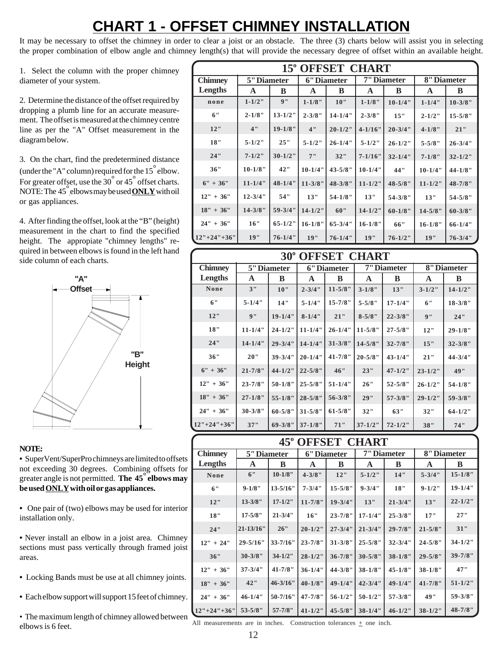# **CHART 1 - OFFSET CHIMNEY INSTALLATION**

It may be necessary to offset the chimney in order to clear a joist or an obstacle. The three (3) charts below will assist you in selecting the proper combination of elbow angle and chimney length(s) that will provide the necessary degree of offset within an available height.

1. Select the column with the proper chimney diameter of your system.

2. Determine the distance of the offset required by dropping a plumb line for an accurate measurement. The offset is measured at the chimney centre line as per the "A" Offset measurement in the diagram below.

3. On the chart, find the predetermined distance (under the "A" column) required for the  $15^{\degree}$  elbow. For greater offset, use the 30° or 45° offset charts. NOTE: The 45° elbows may be used**ONLY** with oil or gas appliances.

4. After finding the offset, look at the "B" (height) measurement in the chart to find the specified height. The appropiate "chimney lengths" required in between elbows is found in the left hand side column of each charts.



#### **NOTE:**

**•** SuperVent/SuperPro chimneys are limited to offsets not exceeding 30 degrees. Combining offsets for greater angle is not permitted. **The 45° elbows may be used ONLY with oil or gas appliances.**

**•** One pair of (two) elbows may be used for interior installation only.

**•** Never install an elbow in a joist area. Chimney sections must pass vertically through framed joist areas.

- **•** Locking Bands must be use at all chimney joints.
- **•** Each elbow support will support 15 feet of chimney.

• The maximum length of chimney allowed between elbows is 6 feet.

| 15° OFFSET CHART |              |              |              |              |              |              |              |              |  |
|------------------|--------------|--------------|--------------|--------------|--------------|--------------|--------------|--------------|--|
| <b>Chimney</b>   | 5" Diameter  |              |              | 6" Diameter  |              | 7" Diameter  | 8" Diameter  |              |  |
| Lengths          | A            | B            | A            | B            | A            | B            | A            | B            |  |
| none             | $1 - 1/2$ "  | 9"           | $1 - 1/8"$   | 10"          | $1 - 1/8"$   | $10 - 1/4$ " | $1 - 1/4"$   | $10 - 3/8$ " |  |
| 6"               | $2 - 1/8"$   | $13 - 1/2$ " | $2 - 3/8"$   | $14 - 1/4$ " | $2 - 3/8"$   | 15"          | $2 - 1/2$ "  | $15 - 5/8$ " |  |
| 12"              | 4"           | $19 - 1/8$ " | 4"           | $20 - 1/2$ " | $4 - 1/16$ " | $20 - 3/4"$  | $4 - 1/8"$   | 21"          |  |
| 18"              | $5 - 1/2$ "  | 25"          | $5 - 1/2$ "  | $26 - 1/4$ " | $5 - 1/2$ "  | $26 - 1/2$ " | $5 - 5/8"$   | $26 - 3/4"$  |  |
| 24"              | $7 - 1/2$ "  | $30 - 1/2$ " | 7"           | 32"          | $7 - 1/16$ " | $32 - 1/4$ " | $7 - 1/8$ "  | $32 - 1/2$ " |  |
| 36"              | $10 - 1/8$ " | 42"          | $10 - 1/4$ " | $43 - 5/8"$  | $10 - 1/4$ " | 44"          | $10 - 1/4$ " | $44 - 1/8$ " |  |
| $6" + 36"$       | $11 - 1/4"$  | $48 - 1/4$ " | $11 - 3/8$ " | $48 - 3/8$ " | $11 - 1/2$ " | $48 - 5/8$ " | $11 - 1/2$ " | $48 - 7/8$ " |  |
| $12" + 36"$      | $12 - 3/4"$  | 54"          | 13"          | $54 - 1/8$ " | 13"          | $54 - 3/8"$  | 13"          | $54 - 5/8"$  |  |
| $18" + 36"$      | $14 - 3/8$ " | $59 - 3/4"$  | $14 - 1/2$ " | 60"          | $14 - 1/2$ " | $60 - 1/8$ " | $14 - 5/8$ " | $60 - 3/8$ " |  |
| $24" + 36"$      | 16"          | $65 - 1/2$ " | $16 - 1/8$ " | $65 - 3/4$ " | $16 - 1/8$ " | 66"          | $16 - 1/8$ " | $66 - 1/4$ " |  |
| $12"+24"+36"$    | 19"          | $76 - 1/4"$  | 19"          | $76 - 1/4$ " | 19"          | $76 - 1/2$ " | 19"          | $76 - 3/4"$  |  |

| <b>30° OFFSET CHART</b> |              |              |              |              |              |              |              |              |  |
|-------------------------|--------------|--------------|--------------|--------------|--------------|--------------|--------------|--------------|--|
| <b>Chimney</b>          |              | 5" Diameter  |              | 6" Diameter  |              | 7" Diameter  | 8" Diameter  |              |  |
| Lengths                 | A            | B            | A            | B            | A            | B            | A            | B            |  |
| None                    | 3"           | 10"          | $2 - 3/4"$   | $11 - 5/8"$  | $3 - 1/8$ "  | 13"          | $3 - 1/2$ "  | $14 - 1/2$ " |  |
| 6"                      | $5 - 1/4"$   | 14"          | $5 - 1/4"$   | $15 - 7/8"$  | $5 - 5/8"$   | $17 - 1/4$ " | 6"           | $18 - 3/8"$  |  |
| 12"                     | 9"           | $19 - 1/4"$  | $8 - 1/4$ "  | 21"          | $8 - 5/8"$   | $22 - 3/8"$  | 9"           | 24"          |  |
| 18"                     | $11 - 1/4"$  | $24 - 1/2$ " | $11 - 1/4"$  | $26 - 1/4$ " | $11 - 5/8$ " | $27 - 5/8"$  | 12"          | $29 - 1/8$ " |  |
| 24"                     | $14 - 1/4$ " | $29 - 3/4"$  | $14 - 1/4$ " | $31 - 3/8$ " | $14 - 5/8$ " | $32 - 7/8$ " | 15"          | $32 - 3/8"$  |  |
| 36"                     | 20"          | $39 - 3/4"$  | $20 - 1/4$ " | $41 - 7/8$ " | $20 - 5/8$ " | $43 - 1/4$ " | 21"          | $44 - 3/4"$  |  |
| $6" + 36"$              | $21 - 7/8$ " | $44 - 1/2$ " | $22 - 5/8"$  | 46"          | 23"          | $47 - 1/2$ " | $23 - 1/2$ " | 49"          |  |
| $12" + 36"$             | $23 - 7/8"$  | $50 - 1/8$ " | $25 - 5/8"$  | $51 - 1/4"$  | 26"          | $52 - 5/8"$  | $26 - 1/2$ " | $54 - 1/8$ " |  |
| $18" + 36"$             | $27 - 1/8$ " | $55 - 1/8$ " | $28 - 5/8"$  | $56 - 3/8"$  | 29"          | $57 - 3/8"$  | $29 - 1/2$ " | $59 - 3/8$ " |  |
| $24" + 36"$             | $30 - 3/8$ " | $60 - 5/8$ " | $31 - 5/8"$  | $61 - 5/8"$  | 32"          | 63"          | 32"          | $64 - 1/2$ " |  |
| $12"+24"+36"$           | 37"          | $69 - 3/8"$  | $37 - 1/8$ " | 71"          | $37 - 1/2$ " | $72 - 1/2$ " | 38"          | 74"          |  |

| <b>45° OFFSET CHART</b> |  |
|-------------------------|--|
|-------------------------|--|

| <b>Chimney</b> | 5" Diameter  |               | 6" Diameter  |              |              | 7" Diameter  | 8" Diameter  |              |  |
|----------------|--------------|---------------|--------------|--------------|--------------|--------------|--------------|--------------|--|
| Lengths        | A            | B             | A            | В            | A            | B            | A            | B            |  |
| None           | 6"           | $10 - 1/8$ "  | $4 - 3/8"$   | 12"          | $5 - 1/2$ "  | 14"          | $5 - 3/4"$   | $15 - 1/8$ " |  |
| 6"             | $9 - 1/8"$   | $13 - 5/16"$  | $7 - 3/4"$   | $15 - 5/8"$  | $9 - 3/4"$   | 18"          | $9 - 1/2"$   | $19 - 1/4"$  |  |
| 12"            | $13 - 3/8"$  | $17 - 1/2$ "  | $11 - 7/8$ " | $19 - 3/4"$  | 13"          | $21 - 3/4"$  | 13"          | $22 - 1/2$ " |  |
| 18"            | $17 - 5/8"$  | $21 - 3/4"$   | 16"          | $23 - 7/8"$  | $17 - 1/4$ " | $25 - 3/8"$  | 17"          | 27"          |  |
| 24"            | 21-13/16"    | 26"           | $20 - 1/2$ " | $27 - 3/4"$  | $21 - 3/4"$  | $29 - 7/8$ " | $21 - 5/8"$  | 31"          |  |
| $12" + 24"$    | $29 - 5/16"$ | $33 - 7/16$ " | $23 - 7/8$ " | $31 - 3/8"$  | $25 - 5/8"$  | $32 - 3/4"$  | $24 - 5/8"$  | $34 - 1/2$ " |  |
| 36"            | $30 - 3/8"$  | $34 - 1/2$ "  | $28 - 1/2$ " | $36 - 7/8$ " | $30 - 5/8$ " | $38 - 1/8$ " | $29 - 5/8"$  | $39 - 7/8$ " |  |
| $12" + 36"$    | $37 - 3/4"$  | $41 - 7/8$ "  | $36 - 1/4$ " | $44 - 3/8$ " | $38 - 1/8$ " | $45 - 1/8$ " | $38 - 1/8$ " | 47"          |  |
| $18" + 36"$    | 42"          | $46 - 3/16$ " | $40 - 1/8$ " | $49 - 1/4$ " | $42 - 3/4"$  | $49 - 1/4$ " | $41 - 7/8$ " | $51 - 1/2$ " |  |
| $24" + 36"$    | $46 - 1/4$ " | $50 - 7/16$ " | $47 - 7/8$ " | $56 - 1/2$ " | $50 - 1/2$ " | $57 - 3/8"$  | 49"          | $59 - 3/8"$  |  |
| $12"+24"+36"$  | $53 - 5/8"$  | $57 - 7/8$ "  | $41 - 1/2$ " | $45 - 5/8$ " | $38 - 1/4$ " | $46 - 1/2$ " | $38 - 1/2$ " | 48-7/8"      |  |

All measurements are in inches. Construction tolerances + one inch.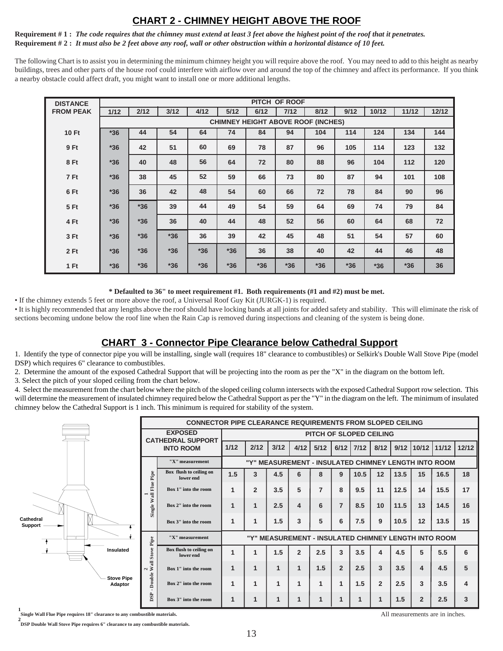#### **CHART 2 - CHIMNEY HEIGHT ABOVE THE ROOF**

**Requirement # 1 :** *The code requires that the chimney must extend at least 3 feet above the highest point of the roof that it penetrates.* **Requirement # 2 :** *It must also be 2 feet above any roof, wall or other obstruction within a horizontal distance of 10 feet.*

The following Chart is to assist you in determining the minimum chimney height you will require above the roof. You may need to add to this height as nearby buildings, trees and other parts of the house roof could interfere with airflow over and around the top of the chimney and affect its performance. If you think a nearby obstacle could affect draft, you might want to install one or more additional lengths.

| <b>DISTANCE</b>  | PITCH OF ROOF |                                           |       |       |       |       |       |       |       |       |       |       |
|------------------|---------------|-------------------------------------------|-------|-------|-------|-------|-------|-------|-------|-------|-------|-------|
| <b>FROM PEAK</b> | 1/12          | 2/12                                      | 3/12  | 4/12  | 5/12  | 6/12  | 7/12  | 8/12  | 9/12  | 10/12 | 11/12 | 12/12 |
|                  |               | <b>CHIMNEY HEIGHT ABOVE ROOF (INCHES)</b> |       |       |       |       |       |       |       |       |       |       |
| <b>10 Ft</b>     | $*36$         | 44                                        | 54    | 64    | 74    | 84    | 94    | 104   | 114   | 124   | 134   | 144   |
| 9 Ft             | $*36$         | 42                                        | 51    | 60    | 69    | 78    | 87    | 96    | 105   | 114   | 123   | 132   |
| 8 Ft             | $*36$         | 40                                        | 48    | 56    | 64    | 72    | 80    | 88    | 96    | 104   | 112   | 120   |
| 7 Ft             | $*36$         | 38                                        | 45    | 52    | 59    | 66    | 73    | 80    | 87    | 94    | 101   | 108   |
| 6 Ft             | $*36$         | 36                                        | 42    | 48    | 54    | 60    | 66    | 72    | 78    | 84    | 90    | 96    |
| 5 Ft             | $*36$         | $*36$                                     | 39    | 44    | 49    | 54    | 59    | 64    | 69    | 74    | 79    | 84    |
| 4 Ft             | $*36$         | $*36$                                     | 36    | 40    | 44    | 48    | 52    | 56    | 60    | 64    | 68    | 72    |
| 3 Ft             | $*36$         | $*36$                                     | $*36$ | 36    | 39    | 42    | 45    | 48    | 51    | 54    | 57    | 60    |
| 2Ft              | $*36$         | $*36$                                     | $*36$ | $*36$ | $*36$ | 36    | 38    | 40    | 42    | 44    | 46    | 48    |
| 1 Ft             | $*36$         | $*36$                                     | $*36$ | $*36$ | $*36$ | $*36$ | $*36$ | $*36$ | $*36$ | $*36$ | $*36$ | 36    |

**\* Defaulted to 36" to meet requirement #1. Both requirements (#1 and #2) must be met.**

• If the chimney extends 5 feet or more above the roof, a Universal Roof Guy Kit (JURGK-1) is required.

• It is highly recommended that any lengths above the roof should have locking bands at all joints for added safety and stability. This will eliminate the risk of sections becoming undone below the roof line when the Rain Cap is removed during inspections and cleaning of the system is being done.

#### **CHART 3 - Connector Pipe Clearance below Cathedral Support**

1. Identify the type of connector pipe you will be installing, single wall (requires 18" clearance to combustibles) or Selkirk's Double Wall Stove Pipe (model DSP) which requires 6" clearance to combustibles.

2. Determine the amount of the exposed Cathedral Support that will be projecting into the room as per the "X" in the diagram on the bottom left.

3. Select the pitch of your sloped ceiling from the chart below.

4. Select the measurement from the chart below where the pitch of the sloped ceiling column intersects with the exposed Cathedral Support row selection. This will determine the measurement of insulated chimney required below the Cathedral Support as per the "Y" in the diagram on the left. The minimum of insulated chimney below the Cathedral Support is 1 inch. This minimum is required for stability of the system.

|                              |                                                                |                                      | <b>CONNECTOR PIPE CLEARANCE REQUIREMENTS FROM SLOPED CEILING</b> |                |              |                         |                |                |      |                |      |                         |                                                      |                  |
|------------------------------|----------------------------------------------------------------|--------------------------------------|------------------------------------------------------------------|----------------|--------------|-------------------------|----------------|----------------|------|----------------|------|-------------------------|------------------------------------------------------|------------------|
|                              | <b>EXPOSED</b><br><b>CATHEDRAL SUPPORT</b><br><b>INTO ROOM</b> |                                      | PITCH OF SLOPED CEILING                                          |                |              |                         |                |                |      |                |      |                         |                                                      |                  |
|                              |                                                                |                                      | 1/12                                                             | 2/12           | 3/12         | 4/12                    | 5/12           | 6/12           | 7/12 | 8/12           | 9/12 | 10/12                   | 11/12                                                | 12/12            |
| Cathedral<br>Support         |                                                                | "X" measurement                      |                                                                  |                |              |                         |                |                |      |                |      |                         | "Y" MEASUREMENT - INSULATED CHIMNEY LENGTH INTO ROOM |                  |
|                              | Pipe                                                           | Box flush to ceiling on<br>lower end | 1.5                                                              | 3              | 4.5          | 6                       | 8              | 9              | 10.5 | 12             | 13.5 | 15                      | 16.5                                                 | 18               |
|                              | Wall Flue<br>-<br>Single                                       | Box 1" into the room                 | $\mathbf 1$                                                      | $\overline{2}$ | 3.5          | 5                       | $\overline{7}$ | 8              | 9.5  | 11             | 12.5 | 14                      | 15.5                                                 | 17               |
|                              |                                                                | Box 2" into the room                 | 1                                                                | 1              | 2.5          | $\overline{\mathbf{4}}$ | 6              | $\overline{7}$ | 8.5  | 10             | 11.5 | 13                      | 14.5                                                 | 16               |
|                              |                                                                | Box 3" into the room                 | 1                                                                | 1              | 1.5          | 3                       | 5              | 6              | 7.5  | 9              | 10.5 | 12                      | 13.5                                                 | 15               |
|                              |                                                                | "X" measurement                      | "Y" MEASUREMENT - INSULATED CHIMNEY LENGTH INTO ROOM             |                |              |                         |                |                |      |                |      |                         |                                                      |                  |
| Insulated                    | <b>Stove Pipe</b>                                              | Box flush to ceiling on<br>lower end |                                                                  | 1              | 1.5          | $\overline{2}$          | 2.5            | 3              | 3.5  | 4              | 4.5  | 5                       | 5.5                                                  | 6                |
|                              | $\frac{2}{Wall}$<br>Double                                     | Box 1" into the room                 | 1                                                                | 1              | $\mathbf{1}$ | $\mathbf{1}$            | 1.5            | $\overline{2}$ | 2.5  | 3              | 3.5  | $\overline{\mathbf{4}}$ | 4.5                                                  | 5                |
| <b>Stove Pipe</b><br>Adaptor |                                                                | Box 2" into the room                 | 1                                                                | 1              | 1            | 1                       |                | 1              | 1.5  | $\overline{2}$ | 2.5  | 3                       | 3.5                                                  | $\boldsymbol{4}$ |
|                              | DSP                                                            | Box 3" into the room                 | 1                                                                | 1              | 1            |                         |                |                |      |                | 1.5  | $\overline{2}$          | 2.5                                                  | 3                |

**1 Single Wall Flue Pipe requires 18" clearance to any combustible materials.**

**2 DSP Double Wall Stove Pipe requires 6" clearance to any combustible materials.**

All measurements are in inches.